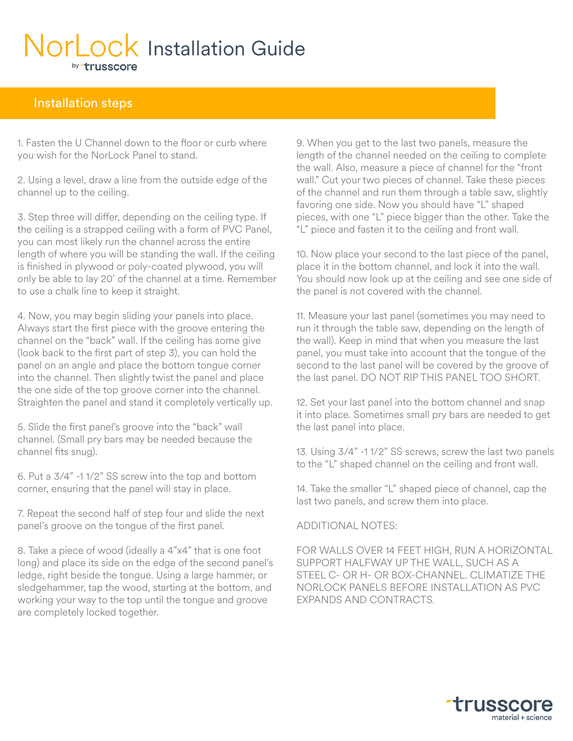# NorLock Installation Guide by trusscore

#### Installation steps

1. Fasten the U Channel down to the floor or curb where you wish for the NorLock Panel to stand.

2. Using a level, draw a line from the outside edge of the channel up to the ceiling.

3. Step three will differ, depending on the ceiling type. If the ceiling is a strapped ceiling with a form of PVC Panel, you can most likely run the channel across the entire length of where you will be standing the wall. If the ceiling is finished in plywood or poly-coated plywood, you will only be able to lay 20' of the channel at a time. Remember to use a chalk line to keep it straight.

4. Now, you may begin sliding your panels into place. Always start the first piece with the groove entering the channel on the "back" wall. If the ceiling has some give (look back to the first part of step 3), you can hold the panel on an angle and place the bottom tongue corner into the channel. Then slightly twist the panel and place the one side of the top groove corner into the channel. Straighten the panel and stand it completely vertically up.

5. Slide the first panel's groove into the "back" wall channel. (Small pry bars may be needed because the channel fits snug).

6. Put a 3/4" -1 1/2" SS screw into the top and bottom corner, ensuring that the panel will stay in place.

7. Repeat the second half of step four and slide the next panel's groove on the tongue of the first panel.

8. Take a piece of wood (ideally a 4"x4" that is one foot long) and place its side on the edge of the second panel's ledge, right beside the tongue. Using a large hammer, or sledgehammer, tap the wood, starting at the bottom, and working your way to the top until the tongue and groove are completely locked together.

9. When you get to the last two panels, measure the length of the channel needed on the ceiling to complete the wall. Also, measure a piece of channel for the "front wall." Cut your two pieces of channel. Take these pieces of the channel and run them through a table saw, slightly favoring one side. Now you should have "L" shaped pieces, with one "L" piece bigger than the other. Take the "L" piece and fasten it to the ceiling and front wall.

10. Now place your second to the last piece of the panel, place it in the bottom channel, and lock it into the wall. You should now look up at the ceiling and see one side of the panel is not covered with the channel.

11. Measure your last panel (sometimes you may need to run it through the table saw, depending on the length of the wall). Keep in mind that when you measure the last panel, you must take into account that the tongue of the second to the last panel will be covered by the groove of the last panel. DO NOT RIP THIS PANEL TOO SHORT.

12. Set your last panel into the bottom channel and snap it into place. Sometimes small pry bars are needed to get the last panel into place.

13. Using 3/4" -1 1/2" SS screws, screw the last two panels to the "L" shaped channel on the ceiling and front wall.

14. Take the smaller "L" shaped piece of channel, cap the last two panels, and screw them into place.

ADDITIONAL NOTES:

FOR WALLS OVER 14 FEET HIGH, RUN A HORIZONTAL SUPPORT HALFWAY UP THE WALL, SUCH AS A STEEL C- OR H- OR BOX-CHANNEL. CLIMATIZE THE NORLOCK PANELS BEFORE INSTALLATION AS PVC EXPANDS AND CONTRACTS.